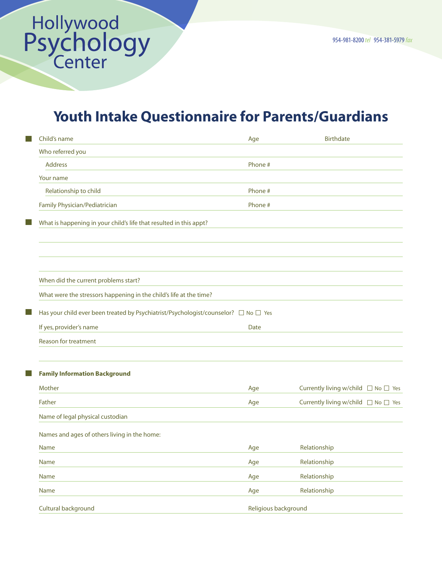## Youth Intake Questionnaire for Parents/Guardians

| Child's name                                                                        | Age                  | <b>Birthdate</b>                              |
|-------------------------------------------------------------------------------------|----------------------|-----------------------------------------------|
| Who referred you                                                                    |                      |                                               |
| <b>Address</b>                                                                      | Phone #              |                                               |
| Your name                                                                           |                      |                                               |
| Relationship to child                                                               | Phone #              |                                               |
| Family Physician/Pediatrician                                                       | Phone #              |                                               |
| What is happening in your child's life that resulted in this appt?                  |                      |                                               |
|                                                                                     |                      |                                               |
| When did the current problems start?                                                |                      |                                               |
| What were the stressors happening in the child's life at the time?                  |                      |                                               |
| Has your child ever been treated by Psychiatrist/Psychologist/counselor? □ No □ Yes |                      |                                               |
| If yes, provider's name                                                             | Date                 |                                               |
| <b>Reason for treatment</b>                                                         |                      |                                               |
| <b>Family Information Background</b>                                                |                      |                                               |
| Mother                                                                              | Age                  | Currently living w/child □ No □ Yes           |
| Father                                                                              | Age                  | Currently living w/child $\Box$ No $\Box$ Yes |
| Name of legal physical custodian                                                    |                      |                                               |
| Names and ages of others living in the home:                                        |                      |                                               |
| Name                                                                                | Age                  | Relationship                                  |
| Name                                                                                | Age                  | Relationship                                  |
| Name                                                                                | Age                  | Relationship                                  |
| Name                                                                                | Age                  | Relationship                                  |
| Cultural background                                                                 | Religious background |                                               |